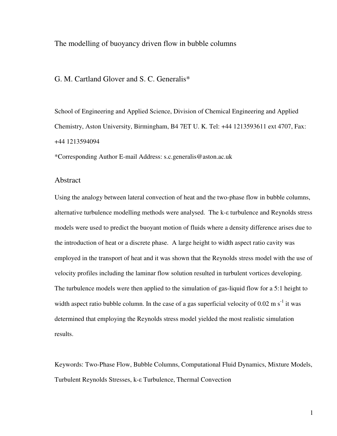The modelling of buoyancy driven flow in bubble columns

## G. M. Cartland Glover and S. C. Generalis\*

School of Engineering and Applied Science, Division of Chemical Engineering and Applied Chemistry, Aston University, Birmingham, B4 7ET U. K. Tel: +44 1213593611 ext 4707, Fax: +44 1213594094

\*Corresponding Author E-mail Address: s.c.generalis@aston.ac.uk

### Abstract

Using the analogy between lateral convection of heat and the two-phase flow in bubble columns, alternative turbulence modelling methods were analysed. The k- $\varepsilon$  turbulence and Reynolds stress models were used to predict the buoyant motion of fluids where a density difference arises due to the introduction of heat or a discrete phase. A large height to width aspect ratio cavity was employed in the transport of heat and it was shown that the Reynolds stress model with the use of velocity profiles including the laminar flow solution resulted in turbulent vortices developing. The turbulence models were then applied to the simulation of gas-liquid flow for a 5:1 height to width aspect ratio bubble column. In the case of a gas superficial velocity of  $0.02 \text{ m s}^{-1}$  it was determined that employing the Reynolds stress model yielded the most realistic simulation results.

Keywords: Two-Phase Flow, Bubble Columns, Computational Fluid Dynamics, Mixture Models, Turbulent Reynolds Stresses, k- $\varepsilon$  Turbulence, Thermal Convection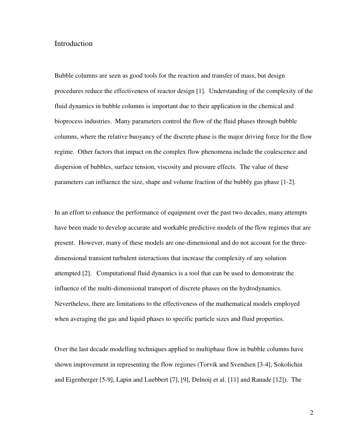# Introduction

Bubble columns are seen as good tools for the reaction and transfer of mass, but design procedures reduce the effectiveness of reactor design [1]. Understanding of the complexity of the fluid dynamics in bubble columns is important due to their application in the chemical and bioprocess industries. Many parameters control the flow of the fluid phases through bubble columns, where the relative buoyancy of the discrete phase is the major driving force for the flow regime. Other factors that impact on the complex flow phenomena include the coalescence and dispersion of bubbles, surface tension, viscosity and pressure effects. The value of these parameters can influence the size, shape and volume fraction of the bubbly gas phase [1-2].

In an effort to enhance the performance of equipment over the past two decades, many attempts have been made to develop accurate and workable predictive models of the flow regimes that are present. However, many of these models are one-dimensional and do not account for the threedimensional transient turbulent interactions that increase the complexity of any solution attempted [2]. Computational fluid dynamics is a tool that can be used to demonstrate the influence of the multi-dimensional transport of discrete phases on the hydrodynamics. Nevertheless, there are limitations to the effectiveness of the mathematical models employed when averaging the gas and liquid phases to specific particle sizes and fluid properties.

Over the last decade modelling techniques applied to multiphase flow in bubble columns have shown improvement in representing the flow regimes (Torvik and Svendsen [3-4], Sokolichin and Eigenberger [5-9], Lapin and Luebbert [7], [9], Delnoij et al. [11] and Ranade [12]). The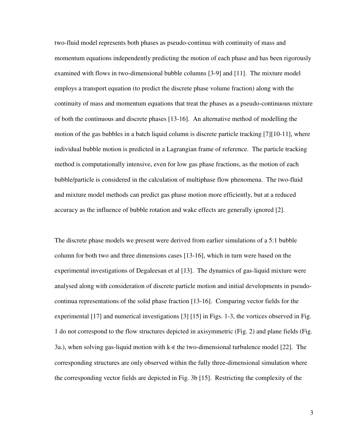two-fluid model represents both phases as pseudo-continua with continuity of mass and momentum equations independently predicting the motion of each phase and has been rigorously examined with flows in two-dimensional bubble columns [3-9] and [11]. The mixture model employs a transport equation (to predict the discrete phase volume fraction) along with the continuity of mass and momentum equations that treat the phases as a pseudo-continuous mixture of both the continuous and discrete phases [13-16]. An alternative method of modelling the motion of the gas bubbles in a batch liquid column is discrete particle tracking [7][10-11], where individual bubble motion is predicted in a Lagrangian frame of reference. The particle tracking method is computationally intensive, even for low gas phase fractions, as the motion of each bubble/particle is considered in the calculation of multiphase flow phenomena. The two-fluid and mixture model methods can predict gas phase motion more efficiently, but at a reduced accuracy as the influence of bubble rotation and wake effects are generally ignored [2].

The discrete phase models we present were derived from earlier simulations of a 5:1 bubble column for both two and three dimensions cases [13-16], which in turn were based on the experimental investigations of Degaleesan et al [13]. The dynamics of gas-liquid mixture were analysed along with consideration of discrete particle motion and initial developments in pseudocontinua representations of the solid phase fraction [13-16]. Comparing vector fields for the experimental [17] and numerical investigations [3] [15] in Figs. 1-3, the vortices observed in Fig. 1 do not correspond to the flow structures depicted in axisymmetric (Fig. 2) and plane fields (Fig. 3a.), when solving gas-liquid motion with k-ε the two-dimensional turbulence model [22]. The corresponding structures are only observed within the fully three-dimensional simulation where the corresponding vector fields are depicted in Fig. 3b [15]. Restricting the complexity of the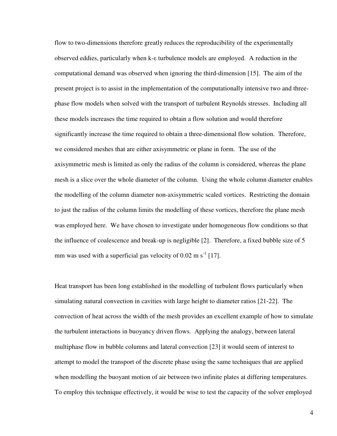flow to two-dimensions therefore greatly reduces the reproducibility of the experimentally observed eddies, particularly when k- $\varepsilon$  turbulence models are employed. A reduction in the computational demand was observed when ignoring the third-dimension [15]. The aim of the present project is to assist in the implementation of the computationally intensive two and threephase flow models when solved with the transport of turbulent Reynolds stresses. Including all these models increases the time required to obtain a flow solution and would therefore significantly increase the time required to obtain a three-dimensional flow solution. Therefore, we considered meshes that are either axisymmetric or plane in form. The use of the axisymmetric mesh is limited as only the radius of the column is considered, whereas the plane mesh is a slice over the whole diameter of the column. Using the whole column diameter enables the modelling of the column diameter non-axisymmetric scaled vortices. Restricting the domain to just the radius of the column limits the modelling of these vortices, therefore the plane mesh was employed here. We have chosen to investigate under homogeneous flow conditions so that the influence of coalescence and break-up is negligible [2]. Therefore, a fixed bubble size of 5 mm was used with a superficial gas velocity of  $0.02 \text{ m s}^{-1}$  [17].

Heat transport has been long established in the modelling of turbulent flows particularly when simulating natural convection in cavities with large height to diameter ratios [21-22]. The convection of heat across the width of the mesh provides an excellent example of how to simulate the turbulent interactions in buoyancy driven flows. Applying the analogy, between lateral multiphase flow in bubble columns and lateral convection [23] it would seem of interest to attempt to model the transport of the discrete phase using the same techniques that are applied when modelling the buoyant motion of air between two infinite plates at differing temperatures. To employ this technique effectively, it would be wise to test the capacity of the solver employed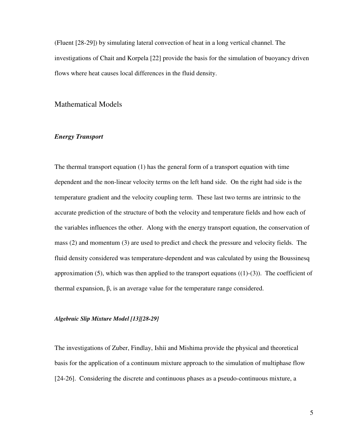(Fluent [28-29]) by simulating lateral convection of heat in a long vertical channel. The investigations of Chait and Korpela [22] provide the basis for the simulation of buoyancy driven flows where heat causes local differences in the fluid density.

## Mathematical Models

### Energy Transport

The thermal transport equation (1) has the general form of a transport equation with time dependent and the non-linear velocity terms on the left hand side. On the right had side is the temperature gradient and the velocity coupling term. These last two terms are intrinsic to the accurate prediction of the structure of both the velocity and temperature fields and how each of the variables influences the other. Along with the energy transport equation, the conservation of mass (2) and momentum (3) are used to predict and check the pressure and velocity fields. The fluid density considered was temperature-dependent and was calculated by using the Boussinesq approximation (5), which was then applied to the transport equations  $((1)-(3))$ . The coefficient of thermal expansion,  $\beta$ , is an average value for the temperature range considered.

#### Algebraic Slip Mixture Model [13][28-29]

The investigations of Zuber, Findlay, Ishii and Mishima provide the physical and theoretical basis for the application of a continuum mixture approach to the simulation of multiphase flow [24-26]. Considering the discrete and continuous phases as a pseudo-continuous mixture, a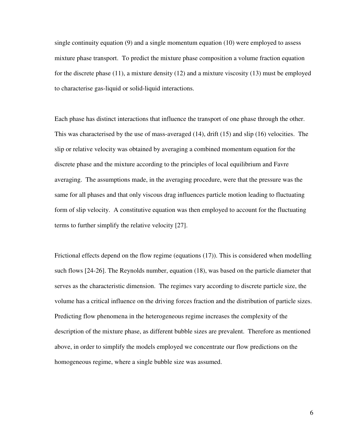single continuity equation (9) and a single momentum equation (10) were employed to assess mixture phase transport. To predict the mixture phase composition a volume fraction equation for the discrete phase (11), a mixture density (12) and a mixture viscosity (13) must be employed to characterise gas-liquid or solid-liquid interactions.

Each phase has distinct interactions that influence the transport of one phase through the other. This was characterised by the use of mass-averaged (14), drift (15) and slip (16) velocities. The slip or relative velocity was obtained by averaging a combined momentum equation for the discrete phase and the mixture according to the principles of local equilibrium and Favre averaging. The assumptions made, in the averaging procedure, were that the pressure was the same for all phases and that only viscous drag influences particle motion leading to fluctuating form of slip velocity. A constitutive equation was then employed to account for the fluctuating terms to further simplify the relative velocity [27].

Frictional effects depend on the flow regime (equations (17)). This is considered when modelling such flows [24-26]. The Reynolds number, equation (18), was based on the particle diameter that serves as the characteristic dimension. The regimes vary according to discrete particle size, the volume has a critical influence on the driving forces fraction and the distribution of particle sizes. Predicting flow phenomena in the heterogeneous regime increases the complexity of the description of the mixture phase, as different bubble sizes are prevalent. Therefore as mentioned above, in order to simplify the models employed we concentrate our flow predictions on the homogeneous regime, where a single bubble size was assumed.

6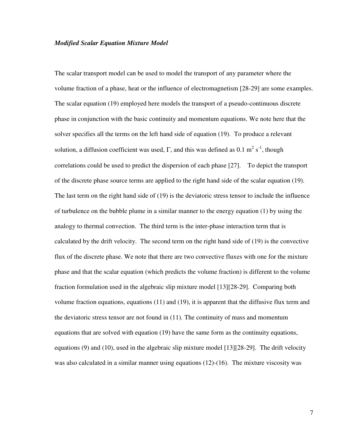#### Modified Scalar Equation Mixture Model

The scalar transport model can be used to model the transport of any parameter where the volume fraction of a phase, heat or the influence of electromagnetism [28-29] are some examples. The scalar equation (19) employed here models the transport of a pseudo-continuous discrete phase in conjunction with the basic continuity and momentum equations. We note here that the solver specifies all the terms on the left hand side of equation (19). To produce a relevant solution, a diffusion coefficient was used,  $\Gamma$ , and this was defined as 0.1 m<sup>2</sup> s<sup>-1</sup>, though correlations could be used to predict the dispersion of each phase [27]. To depict the transport of the discrete phase source terms are applied to the right hand side of the scalar equation (19). The last term on the right hand side of (19) is the deviatoric stress tensor to include the influence of turbulence on the bubble plume in a similar manner to the energy equation (1) by using the analogy to thermal convection. The third term is the inter-phase interaction term that is calculated by the drift velocity. The second term on the right hand side of (19) is the convective flux of the discrete phase. We note that there are two convective fluxes with one for the mixture phase and that the scalar equation (which predicts the volume fraction) is different to the volume fraction formulation used in the algebraic slip mixture model [13][28-29]. Comparing both volume fraction equations, equations (11) and (19), it is apparent that the diffusive flux term and the deviatoric stress tensor are not found in (11). The continuity of mass and momentum equations that are solved with equation (19) have the same form as the continuity equations, equations (9) and (10), used in the algebraic slip mixture model [13][28-29]. The drift velocity was also calculated in a similar manner using equations (12)-(16). The mixture viscosity was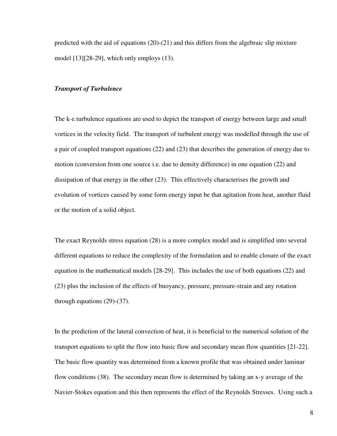predicted with the aid of equations  $(20)-(21)$  and this differs from the algebraic slip mixture model [13][28-29], which only employs (13).

#### Transport of Turbulence

The k- $\epsilon$  turbulence equations are used to depict the transport of energy between large and small vortices in the velocity field. The transport of turbulent energy was modelled through the use of a pair of coupled transport equations (22) and (23) that describes the generation of energy due to motion (conversion from one source i.e. due to density difference) in one equation (22) and dissipation of that energy in the other (23). This effectively characterises the growth and evolution of vortices caused by some form energy input be that agitation from heat, another fluid or the motion of a solid object.

The exact Reynolds stress equation (28) is a more complex model and is simplified into several different equations to reduce the complexity of the formulation and to enable closure of the exact equation in the mathematical models [28-29]. This includes the use of both equations (22) and (23) plus the inclusion of the effects of buoyancy, pressure, pressure-strain and any rotation through equations (29)-(37).

In the prediction of the lateral convection of heat, it is beneficial to the numerical solution of the transport equations to split the flow into basic flow and secondary mean flow quantities [21-22]. The basic flow quantity was determined from a known profile that was obtained under laminar flow conditions (38). The secondary mean flow is determined by taking an x-y average of the Navier-Stokes equation and this then represents the effect of the Reynolds Stresses. Using such a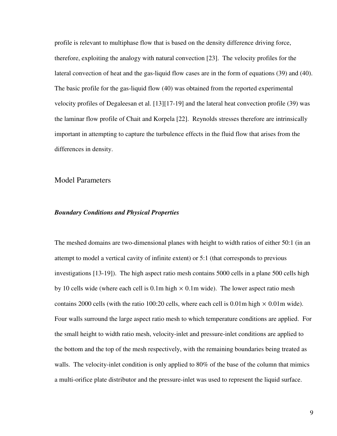profile is relevant to multiphase flow that is based on the density difference driving force, therefore, exploiting the analogy with natural convection [23]. The velocity profiles for the lateral convection of heat and the gas-liquid flow cases are in the form of equations (39) and (40). The basic profile for the gas-liquid flow (40) was obtained from the reported experimental velocity profiles of Degaleesan et al. [13][17-19] and the lateral heat convection profile (39) was the laminar flow profile of Chait and Korpela [22]. Reynolds stresses therefore are intrinsically important in attempting to capture the turbulence effects in the fluid flow that arises from the differences in density.

Model Parameters

#### Boundary Conditions and Physical Properties

The meshed domains are two-dimensional planes with height to width ratios of either 50:1 (in an attempt to model a vertical cavity of infinite extent) or 5:1 (that corresponds to previous investigations [13-19]). The high aspect ratio mesh contains 5000 cells in a plane 500 cells high by 10 cells wide (where each cell is  $0.1m$  high  $\times$  0.1m wide). The lower aspect ratio mesh contains 2000 cells (with the ratio 100:20 cells, where each cell is 0.01m high  $\times$  0.01m wide). Four walls surround the large aspect ratio mesh to which temperature conditions are applied. For the small height to width ratio mesh, velocity-inlet and pressure-inlet conditions are applied to the bottom and the top of the mesh respectively, with the remaining boundaries being treated as walls. The velocity-inlet condition is only applied to 80% of the base of the column that mimics a multi-orifice plate distributor and the pressure-inlet was used to represent the liquid surface.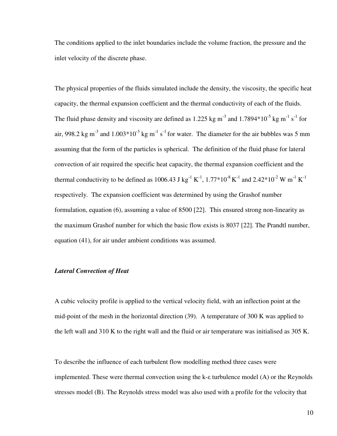The conditions applied to the inlet boundaries include the volume fraction, the pressure and the inlet velocity of the discrete phase.

The physical properties of the fluids simulated include the density, the viscosity, the specific heat capacity, the thermal expansion coefficient and the thermal conductivity of each of the fluids. The fluid phase density and viscosity are defined as 1.225 kg m<sup>-3</sup> and 1.7894\*10<sup>-5</sup> kg m<sup>-1</sup> s<sup>-1</sup> for air, 998.2 kg m<sup>-3</sup> and  $1.003*10^{-3}$  kg m<sup>-1</sup> s<sup>-1</sup> for water. The diameter for the air bubbles was 5 mm assuming that the form of the particles is spherical. The definition of the fluid phase for lateral convection of air required the specific heat capacity, the thermal expansion coefficient and the thermal conductivity to be defined as 1006.43 J kg<sup>-1</sup> K<sup>-1</sup>, 1.77\*10<sup>-8</sup> K<sup>-1</sup> and 2.42\*10<sup>-2</sup> W m<sup>-1</sup> K<sup>-1</sup> respectively. The expansion coefficient was determined by using the Grashof number formulation, equation (6), assuming a value of 8500 [22]. This ensured strong non-linearity as the maximum Grashof number for which the basic flow exists is 8037 [22]. The Prandtl number, equation (41), for air under ambient conditions was assumed.

#### Lateral Convection of Heat

A cubic velocity profile is applied to the vertical velocity field, with an inflection point at the mid-point of the mesh in the horizontal direction (39). A temperature of 300 K was applied to the left wall and 310 K to the right wall and the fluid or air temperature was initialised as 305 K.

To describe the influence of each turbulent flow modelling method three cases were implemented. These were thermal convection using the  $k$ - $\varepsilon$  turbulence model (A) or the Reynolds stresses model (B). The Reynolds stress model was also used with a profile for the velocity that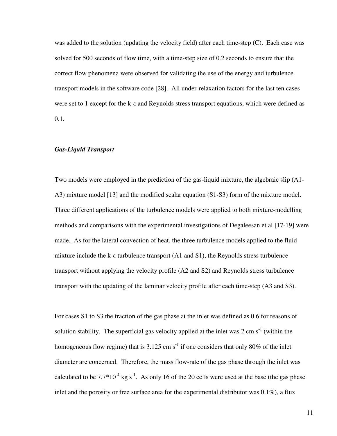was added to the solution (updating the velocity field) after each time-step (C). Each case was solved for 500 seconds of flow time, with a time-step size of 0.2 seconds to ensure that the correct flow phenomena were observed for validating the use of the energy and turbulence transport models in the software code [28]. All under-relaxation factors for the last ten cases were set to 1 except for the k- $\varepsilon$  and Reynolds stress transport equations, which were defined as 0.1.

#### Gas-Liquid Transport

Two models were employed in the prediction of the gas-liquid mixture, the algebraic slip (A1- A3) mixture model [13] and the modified scalar equation (S1-S3) form of the mixture model. Three different applications of the turbulence models were applied to both mixture-modelling methods and comparisons with the experimental investigations of Degaleesan et al [17-19] were made. As for the lateral convection of heat, the three turbulence models applied to the fluid mixture include the k- $\epsilon$  turbulence transport (A1 and S1), the Reynolds stress turbulence transport without applying the velocity profile (A2 and S2) and Reynolds stress turbulence transport with the updating of the laminar velocity profile after each time-step (A3 and S3).

For cases S1 to S3 the fraction of the gas phase at the inlet was defined as 0.6 for reasons of solution stability. The superficial gas velocity applied at the inlet was  $2 \text{ cm s}^{-1}$  (within the homogeneous flow regime) that is 3.125 cm  $s^{-1}$  if one considers that only 80% of the inlet diameter are concerned. Therefore, the mass flow-rate of the gas phase through the inlet was calculated to be  $7.7*10^{-4}$  kg s<sup>-1</sup>. As only 16 of the 20 cells were used at the base (the gas phase inlet and the porosity or free surface area for the experimental distributor was  $0.1\%$ ), a flux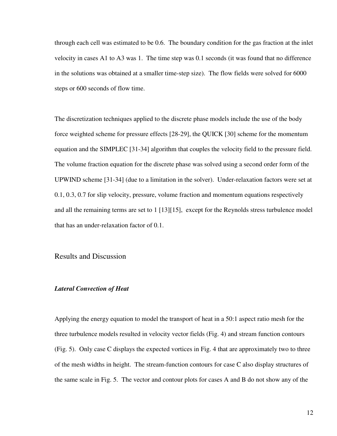through each cell was estimated to be 0.6. The boundary condition for the gas fraction at the inlet velocity in cases A1 to A3 was 1. The time step was 0.1 seconds (it was found that no difference in the solutions was obtained at a smaller time-step size). The flow fields were solved for 6000 steps or 600 seconds of flow time.

The discretization techniques applied to the discrete phase models include the use of the body force weighted scheme for pressure effects [28-29], the QUICK [30] scheme for the momentum equation and the SIMPLEC [31-34] algorithm that couples the velocity field to the pressure field. The volume fraction equation for the discrete phase was solved using a second order form of the UPWIND scheme [31-34] (due to a limitation in the solver). Under-relaxation factors were set at 0.1, 0.3, 0.7 for slip velocity, pressure, volume fraction and momentum equations respectively and all the remaining terms are set to 1 [13][15], except for the Reynolds stress turbulence model that has an under-relaxation factor of 0.1.

## Results and Discussion

#### Lateral Convection of Heat

Applying the energy equation to model the transport of heat in a 50:1 aspect ratio mesh for the three turbulence models resulted in velocity vector fields (Fig. 4) and stream function contours (Fig. 5). Only case C displays the expected vortices in Fig. 4 that are approximately two to three of the mesh widths in height. The stream-function contours for case C also display structures of the same scale in Fig. 5. The vector and contour plots for cases A and B do not show any of the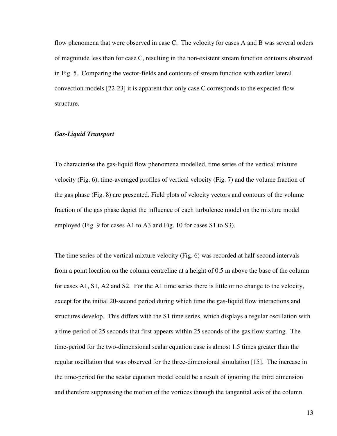flow phenomena that were observed in case C. The velocity for cases A and B was several orders of magnitude less than for case C, resulting in the non-existent stream function contours observed in Fig. 5. Comparing the vector-fields and contours of stream function with earlier lateral convection models [22-23] it is apparent that only case C corresponds to the expected flow structure.

#### Gas-Liquid Transport

To characterise the gas-liquid flow phenomena modelled, time series of the vertical mixture velocity (Fig. 6), time-averaged profiles of vertical velocity (Fig. 7) and the volume fraction of the gas phase (Fig. 8) are presented. Field plots of velocity vectors and contours of the volume fraction of the gas phase depict the influence of each turbulence model on the mixture model employed (Fig. 9 for cases A1 to A3 and Fig. 10 for cases S1 to S3).

The time series of the vertical mixture velocity (Fig. 6) was recorded at half-second intervals from a point location on the column centreline at a height of 0.5 m above the base of the column for cases A1, S1, A2 and S2. For the A1 time series there is little or no change to the velocity, except for the initial 20-second period during which time the gas-liquid flow interactions and structures develop. This differs with the S1 time series, which displays a regular oscillation with a time-period of 25 seconds that first appears within 25 seconds of the gas flow starting. The time-period for the two-dimensional scalar equation case is almost 1.5 times greater than the regular oscillation that was observed for the three-dimensional simulation [15]. The increase in the time-period for the scalar equation model could be a result of ignoring the third dimension and therefore suppressing the motion of the vortices through the tangential axis of the column.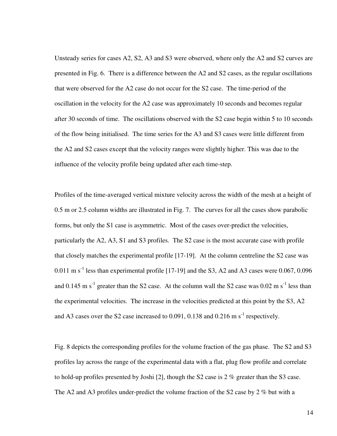Unsteady series for cases A2, S2, A3 and S3 were observed, where only the A2 and S2 curves are presented in Fig. 6. There is a difference between the A2 and S2 cases, as the regular oscillations that were observed for the A2 case do not occur for the S2 case. The time-period of the oscillation in the velocity for the A2 case was approximately 10 seconds and becomes regular after 30 seconds of time. The oscillations observed with the S2 case begin within 5 to 10 seconds of the flow being initialised. The time series for the A3 and S3 cases were little different from the A2 and S2 cases except that the velocity ranges were slightly higher. This was due to the influence of the velocity profile being updated after each time-step.

Profiles of the time-averaged vertical mixture velocity across the width of the mesh at a height of 0.5 m or 2.5 column widths are illustrated in Fig. 7. The curves for all the cases show parabolic forms, but only the S1 case is asymmetric. Most of the cases over-predict the velocities, particularly the A2, A3, S1 and S3 profiles. The S2 case is the most accurate case with profile that closely matches the experimental profile [17-19]. At the column centreline the S2 case was 0.011 m s<sup>-1</sup> less than experimental profile [17-19] and the S3, A2 and A3 cases were 0.067, 0.096 and 0.145 m  $s^{-1}$  greater than the S2 case. At the column wall the S2 case was 0.02 m  $s^{-1}$  less than the experimental velocities. The increase in the velocities predicted at this point by the S3, A2 and A3 cases over the S2 case increased to  $0.091$ ,  $0.138$  and  $0.216$  m s<sup>-1</sup> respectively.

Fig. 8 depicts the corresponding profiles for the volume fraction of the gas phase. The S2 and S3 profiles lay across the range of the experimental data with a flat, plug flow profile and correlate to hold-up profiles presented by Joshi [2], though the S2 case is 2 % greater than the S3 case. The A2 and A3 profiles under-predict the volume fraction of the S2 case by 2 % but with a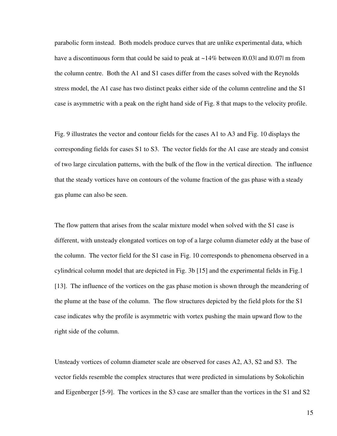parabolic form instead. Both models produce curves that are unlike experimental data, which have a discontinuous form that could be said to peak at  $\sim$ 14% between 10.031 and 10.071 m from the column centre. Both the A1 and S1 cases differ from the cases solved with the Reynolds stress model, the A1 case has two distinct peaks either side of the column centreline and the S1 case is asymmetric with a peak on the right hand side of Fig. 8 that maps to the velocity profile.

Fig. 9 illustrates the vector and contour fields for the cases A1 to A3 and Fig. 10 displays the corresponding fields for cases S1 to S3. The vector fields for the A1 case are steady and consist of two large circulation patterns, with the bulk of the flow in the vertical direction. The influence that the steady vortices have on contours of the volume fraction of the gas phase with a steady gas plume can also be seen.

The flow pattern that arises from the scalar mixture model when solved with the S1 case is different, with unsteady elongated vortices on top of a large column diameter eddy at the base of the column. The vector field for the S1 case in Fig. 10 corresponds to phenomena observed in a cylindrical column model that are depicted in Fig. 3b [15] and the experimental fields in Fig.1 [13]. The influence of the vortices on the gas phase motion is shown through the meandering of the plume at the base of the column. The flow structures depicted by the field plots for the S1 case indicates why the profile is asymmetric with vortex pushing the main upward flow to the right side of the column.

Unsteady vortices of column diameter scale are observed for cases A2, A3, S2 and S3. The vector fields resemble the complex structures that were predicted in simulations by Sokolichin and Eigenberger [5-9]. The vortices in the S3 case are smaller than the vortices in the S1 and S2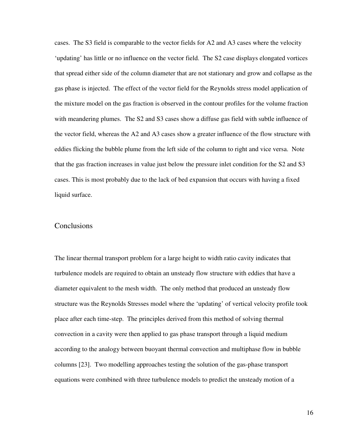cases. The S3 field is comparable to the vector fields for A2 and A3 cases where the velocity 'updating' has little or no influence on the vector field. The S2 case displays elongated vortices that spread either side of the column diameter that are not stationary and grow and collapse as the gas phase is injected. The effect of the vector field for the Reynolds stress model application of the mixture model on the gas fraction is observed in the contour profiles for the volume fraction with meandering plumes. The S2 and S3 cases show a diffuse gas field with subtle influence of the vector field, whereas the A2 and A3 cases show a greater influence of the flow structure with eddies flicking the bubble plume from the left side of the column to right and vice versa. Note that the gas fraction increases in value just below the pressure inlet condition for the S2 and S3 cases. This is most probably due to the lack of bed expansion that occurs with having a fixed liquid surface.

#### Conclusions

The linear thermal transport problem for a large height to width ratio cavity indicates that turbulence models are required to obtain an unsteady flow structure with eddies that have a diameter equivalent to the mesh width. The only method that produced an unsteady flow structure was the Reynolds Stresses model where the 'updating' of vertical velocity profile took place after each time-step. The principles derived from this method of solving thermal convection in a cavity were then applied to gas phase transport through a liquid medium according to the analogy between buoyant thermal convection and multiphase flow in bubble columns [23]. Two modelling approaches testing the solution of the gas-phase transport equations were combined with three turbulence models to predict the unsteady motion of a

16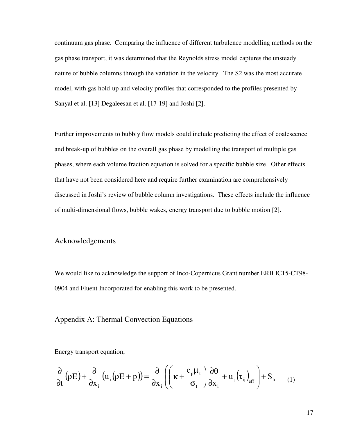continuum gas phase. Comparing the influence of different turbulence modelling methods on the gas phase transport, it was determined that the Reynolds stress model captures the unsteady nature of bubble columns through the variation in the velocity. The S2 was the most accurate model, with gas hold-up and velocity profiles that corresponded to the profiles presented by Sanyal et al. [13] Degaleesan et al. [17-19] and Joshi [2].

Further improvements to bubbly flow models could include predicting the effect of coalescence and break-up of bubbles on the overall gas phase by modelling the transport of multiple gas phases, where each volume fraction equation is solved for a specific bubble size. Other effects that have not been considered here and require further examination are comprehensively discussed in Joshi's review of bubble column investigations. These effects include the influence of multi-dimensional flows, bubble wakes, energy transport due to bubble motion [2].

#### Acknowledgements

We would like to acknowledge the support of Inco-Copernicus Grant number ERB IC15-CT98- 0904 and Fluent Incorporated for enabling this work to be presented.

# Appendix A: Thermal Convection Equations

Energy transport equation,

$$
\frac{\partial}{\partial t} (\rho E) + \frac{\partial}{\partial x_i} (u_i (\rho E + p)) = \frac{\partial}{\partial x_i} \left( \left( \kappa + \frac{c_p \mu_t}{\sigma_t} \right) \frac{\partial \theta}{\partial x_i} + u_j (\tau_{ij})_{eff} \right) + S_h \tag{1}
$$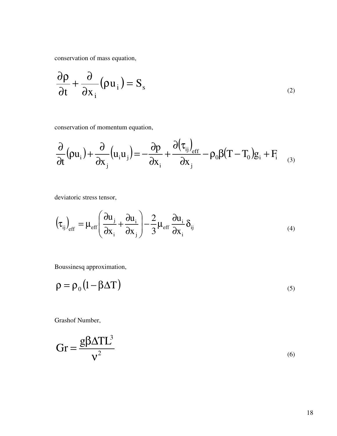conservation of mass equation,

$$
\frac{\partial \rho}{\partial t} + \frac{\partial}{\partial x_i} (\rho u_i) = S_s \tag{2}
$$

conservation of momentum equation,

$$
\frac{\partial}{\partial t}(\rho u_i) + \frac{\partial}{\partial x_j} (u_i u_j) = -\frac{\partial p}{\partial x_i} + \frac{\partial (\tau_{ij})_{eff}}{\partial x_j} - \rho_0 \beta (T - T_0) g_i + F_i \tag{3}
$$

deviatoric stress tensor,

$$
\left(\tau_{ij}\right)_{\rm eff} = \mu_{\rm eff} \left(\frac{\partial u_j}{\partial x_i} + \frac{\partial u_i}{\partial x_j}\right) - \frac{2}{3} \mu_{\rm eff} \frac{\partial u_i}{\partial x_i} \delta_{ij} \tag{4}
$$

Boussinesq approximation,

$$
\rho = \rho_0 (1 - \beta \Delta T) \tag{5}
$$

Grashof Number,

$$
Gr = \frac{g\beta \Delta TL^3}{v^2}
$$
 (6)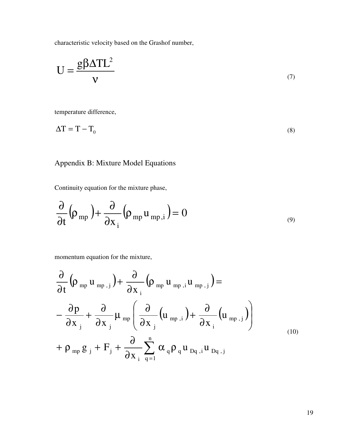characteristic velocity based on the Grashof number,

$$
U = \frac{g\beta \Delta T L^2}{v}
$$
 (7)

temperature difference,

$$
\Delta T = T - T_0 \tag{8}
$$

# Appendix B: Mixture Model Equations

Continuity equation for the mixture phase,

$$
\frac{\partial}{\partial t} \left( \rho_{mp} \right) + \frac{\partial}{\partial x_i} \left( \rho_{mp} u_{mp,i} \right) = 0 \tag{9}
$$

momentum equation for the mixture,

$$
\frac{\partial}{\partial t} \left( \rho_{mp} u_{mp,j} \right) + \frac{\partial}{\partial x_{i}} \left( \rho_{mp} u_{mp,j} u_{mp,j} \right) = \n- \frac{\partial p}{\partial x_{j}} + \frac{\partial}{\partial x_{j}} \mu_{mp} \left( \frac{\partial}{\partial x_{j}} \left( u_{mp,i} \right) + \frac{\partial}{\partial x_{i}} \left( u_{mp,j} \right) \right) \n+ \rho_{mp} g_{j} + F_{j} + \frac{\partial}{\partial x_{i}} \sum_{q=1}^{n} \alpha_{q} \rho_{q} u_{pq,i} u_{pq,j}
$$
\n(10)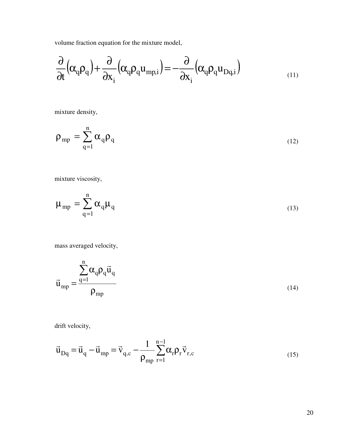volume fraction equation for the mixture model,

$$
\frac{\partial}{\partial t} \left( \alpha_q \rho_q \right) + \frac{\partial}{\partial x_i} \left( \alpha_q \rho_q u_{mp,i} \right) = -\frac{\partial}{\partial x_i} \left( \alpha_q \rho_q u_{Dq,i} \right)
$$
\n(11)

mixture density,

$$
\rho_{\rm mp} = \sum_{q=1}^{n} \alpha_q \rho_q \tag{12}
$$

mixture viscosity,

$$
\mu_{\rm mp} = \sum_{q=1}^{n} \alpha_q \mu_q \tag{13}
$$

mass averaged velocity,

$$
\vec{u}_{mp} = \frac{\sum_{q=1}^{n} \alpha_q \rho_q \vec{u}_q}{\rho_{mp}}
$$
\n(14)

drift velocity,

$$
\vec{u}_{Dq} = \vec{u}_q - \vec{u}_{mp} = \vec{v}_{q,c} - \frac{1}{\rho_{mp}} \sum_{r=1}^{n-1} \alpha_r \rho_r \vec{v}_{r,c}
$$
\n(15)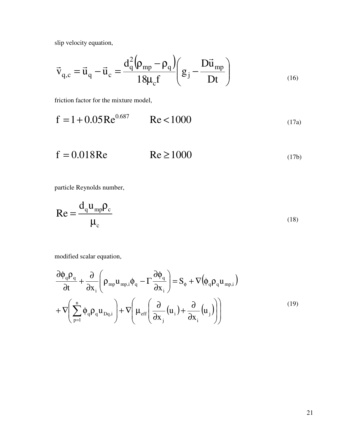slip velocity equation,

$$
\vec{v}_{q,c} = \vec{u}_q - \vec{u}_c = \frac{d_q^2 (\rho_{mp} - \rho_q)}{18 \mu_c f} \left( g_j - \frac{D \vec{u}_{mp}}{Dt} \right)
$$
\n(16)

friction factor for the mixture model,

$$
f = 1 + 0.05 \text{Re}^{0.687} \qquad \text{Re} < 1000 \tag{17a}
$$

 $f = 0.018$ Re Re  $\ge 1000$  (17b)

particle Reynolds number,

$$
Re = \frac{d_q u_{mp} \rho_c}{\mu_c}
$$
 (18)

modified scalar equation,

$$
\frac{\partial \phi_q \rho_q}{\partial t} + \frac{\partial}{\partial x_i} \left( \rho_{mp} u_{mp,i} \phi_q - \Gamma \frac{\partial \phi_q}{\partial x_i} \right) = S_{\phi} + \nabla (\phi_q \rho_q u_{mp,i})
$$
\n
$$
+ \nabla \left( \sum_{p=1}^n \phi_q \rho_q u_{Dq,i} \right) + \nabla \left( \mu_{eff} \left( \frac{\partial}{\partial x_j} (u_i) + \frac{\partial}{\partial x_i} (u_j) \right) \right)
$$
\n(19)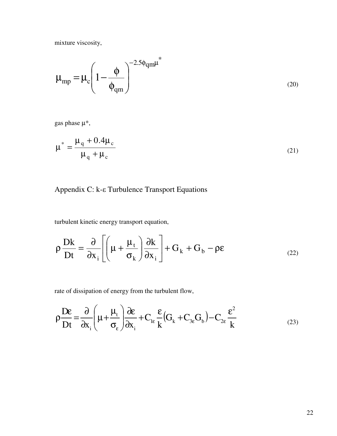mixture viscosity,

$$
\mu_{mp} = \mu_c \left( 1 - \frac{\phi}{\phi_{qm}} \right)^{-2.5\phi_{qm}\mu^*}
$$
\n(20)

gas phase  $\mu^*$ ,

$$
\mu^* = \frac{\mu_q + 0.4\mu_c}{\mu_q + \mu_c}
$$
 (21)

# Appendix C: k-ε Turbulence Transport Equations

turbulent kinetic energy transport equation,

$$
\rho \frac{Dk}{Dt} = \frac{\partial}{\partial x_i} \left[ \left( \mu + \frac{\mu_t}{\sigma_k} \right) \frac{\partial k}{\partial x_i} \right] + G_k + G_b - \rho \epsilon
$$
\n(22)

rate of dissipation of energy from the turbulent flow,

$$
\rho \frac{\mathbf{D}\varepsilon}{\mathbf{D}t} = \frac{\partial}{\partial x_i} \left( \mu + \frac{\mu_t}{\sigma_{\varepsilon}} \right) \frac{\partial \varepsilon}{\partial x_i} + C_{1\varepsilon} \frac{\varepsilon}{k} \left( G_k + C_{3\varepsilon} G_b \right) - C_{2\varepsilon} \frac{\varepsilon^2}{k}
$$
(23)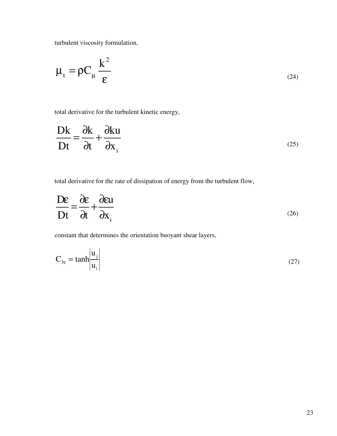turbulent viscosity formulation,

$$
\mu_{t} = \rho C_{\mu} \frac{k^{2}}{\epsilon}
$$
 (24)

total derivative for the turbulent kinetic energy,

$$
\frac{\mathbf{D}\mathbf{k}}{\mathbf{D}\mathbf{t}} = \frac{\partial \mathbf{k}}{\partial \mathbf{t}} + \frac{\partial \mathbf{k}\mathbf{u}}{\partial \mathbf{x}_{i}}
$$
 (25)

total derivative for the rate of dissipation of energy from the turbulent flow,

$$
\frac{\mathbf{D}\varepsilon}{\mathbf{D}t} = \frac{\partial \varepsilon}{\partial t} + \frac{\partial \varepsilon u}{\partial x_i}
$$
 (26)

constant that determines the orientation buoyant shear layers,

$$
C_{3\varepsilon} = \tanh\left|\frac{u_j}{u_i}\right| \tag{27}
$$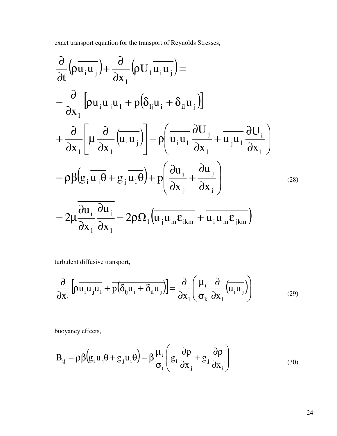exact transport equation for the transport of Reynolds Stresses,

$$
\frac{\partial}{\partial t} \left( \rho \overline{u_i u_j} \right) + \frac{\partial}{\partial x_1} \left( \rho U_1 \overline{u_i u_j} \right) = \n- \frac{\partial}{\partial x_1} \left[ \rho \overline{u_i u_j u_1} + \overline{p} \left( \delta_{ij} u_i + \delta_{il} u_j \right) \right] \n+ \frac{\partial}{\partial x_1} \left[ \mu \frac{\partial}{\partial x_1} \left( \overline{u_i u_j} \right) \right] - \rho \left( \overline{u_i u_1} \frac{\partial U_j}{\partial x_1} + \overline{u_j u_1} \frac{\partial U_i}{\partial x_1} \right) \n- \rho \beta \left( g_i \overline{u_j \theta} + g_j \overline{u_i \theta} \right) + p \left( \frac{\partial u_i}{\partial x_j} + \frac{\partial u_j}{\partial x_i} \right) \n- 2 \mu \frac{\overline{\partial u_i \partial u_j}}{\partial x_1} - 2 \rho \Omega_1 \left( \overline{u_j u_m \varepsilon_{ikm}} + \overline{u_i u_m \varepsilon_{jkm}} \right)
$$
\n(28)

turbulent diffusive transport,

$$
\frac{\partial}{\partial x_1} \left[ \rho \overline{u_i u_j u_1} + \overline{p(\delta_{ij} u_i + \delta_{il} u_j)} \right] = \frac{\partial}{\partial x_1} \left( \frac{\mu_t}{\sigma_k} \frac{\partial}{\partial x_1} (u_i u_j) \right)
$$
(29)

buoyancy effects,

$$
B_{ij} = \rho \beta \left( g_i \overline{u_j \theta} + g_j \overline{u_i \theta} \right) = \beta \frac{\mu_t}{\sigma_t} \left( g_i \frac{\partial \rho}{\partial x_j} + g_j \frac{\partial \rho}{\partial x_i} \right)
$$
(30)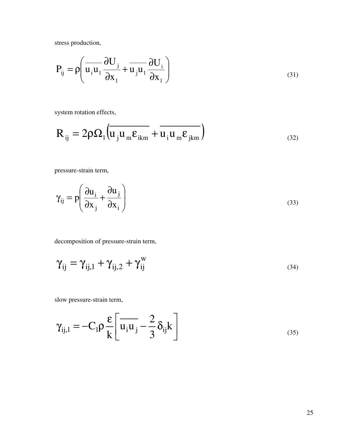stress production,

$$
P_{ij} = \rho \left( \overline{u_i u_1} \frac{\partial U_j}{\partial x_1} + \overline{u_j u_1} \frac{\partial U_i}{\partial x_1} \right)
$$
(31)

system rotation effects,

$$
R_{ij} = 2\rho \Omega_1 \left( \overline{u_j u_m \varepsilon_{ikm}} + \overline{u_i u_m \varepsilon_{jkm}} \right)
$$
\n(32)

pressure-strain term,

$$
\gamma_{ij} = p \left( \frac{\partial u_i}{\partial x_j} + \frac{\partial u_j}{\partial x_i} \right)
$$
 (33)

decomposition of pressure-strain term,

$$
\gamma_{ij} = \gamma_{ij,1} + \gamma_{ij,2} + \gamma_{ij}^w
$$
\n(34)

slow pressure-strain term,

$$
\gamma_{ij,1} = -C_1 \rho \frac{\varepsilon}{k} \left[ \overline{u_i u_j} - \frac{2}{3} \delta_{ij} k \right]
$$
\n(35)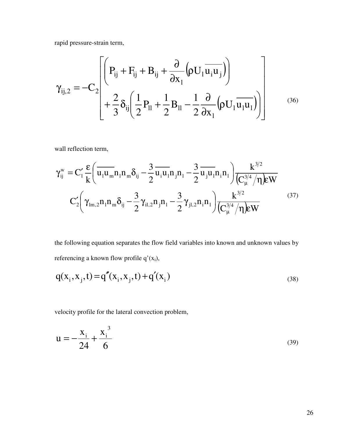rapid pressure-strain term,

$$
\gamma_{ij,2} = -C_2 \left[ \left( P_{ij} + F_{ij} + B_{ij} + \frac{\partial}{\partial x_1} (\rho U_1 \overline{u_i u_j}) \right) + \frac{2}{3} \delta_{ij} \left( \frac{1}{2} P_{ll} + \frac{1}{2} B_{ll} - \frac{1}{2} \frac{\partial}{\partial x_1} (\rho U_1 \overline{u_l u_l}) \right) \right]
$$
(36)

wall reflection term,

$$
\gamma_{ij}^{w} = C_{1}^{\prime} \frac{\varepsilon}{k} \left( \overline{u_{1} u_{m}} n_{1} n_{m} \delta_{ij} - \frac{3}{2} \overline{u_{i} u_{1}} n_{j} n_{1} - \frac{3}{2} \overline{u_{j} u_{1}} n_{i} n_{1} \right) \frac{k^{3/2}}{\left(C_{\mu}^{3/4} / \eta\right) \varepsilon W}
$$

$$
C_{2}^{\prime} \left( \gamma_{lm,2} n_{1} n_{m} \delta_{ij} - \frac{3}{2} \gamma_{il,2} n_{j} n_{1} - \frac{3}{2} \gamma_{jl,2} n_{i} n_{1} \right) \frac{k^{3/2}}{\left(C_{\mu}^{3/4} / \eta\right) \varepsilon W}
$$
(37)

the following equation separates the flow field variables into known and unknown values by referencing a known flow profile  $q'(x_i)$ ,

$$
q(x_i, x_j, t) = q''(x_i, x_j, t) + q'(x_i)
$$
\n(38)

velocity profile for the lateral convection problem,

$$
u = -\frac{x_i}{24} + \frac{x_i^3}{6}
$$
 (39)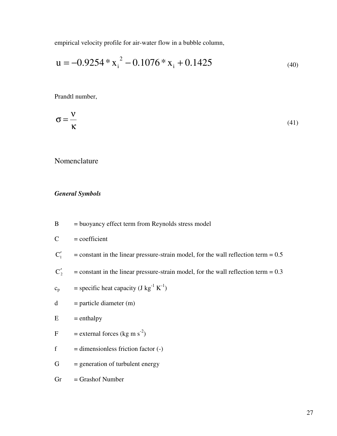empirical velocity profile for air-water flow in a bubble column,

$$
u = -0.9254 \times x_i^2 - 0.1076 \times x_i + 0.1425
$$
 (40)

Prandtl number,

$$
\sigma = \frac{v}{\kappa} \tag{41}
$$

Nomenclature

# General Symbols

B = buoyancy effect term from Reynolds stress model

 $C = coefficient$ 

- $C_1'$  $=$  constant in the linear pressure-strain model, for the wall reflection term  $= 0.5$
- $C_2'$  $=$  constant in the linear pressure-strain model, for the wall reflection term  $= 0.3$
- $c_p$  = specific heat capacity (J kg<sup>-1</sup> K<sup>-1</sup>)
- $d =$  particle diameter (m)

 $E$  = enthalpy

- F = external forces (kg m s<sup>-2</sup>)
- $f =$  dimensionless friction factor  $(-)$
- $G =$  generation of turbulent energy

 $Gr =$ Grashof Number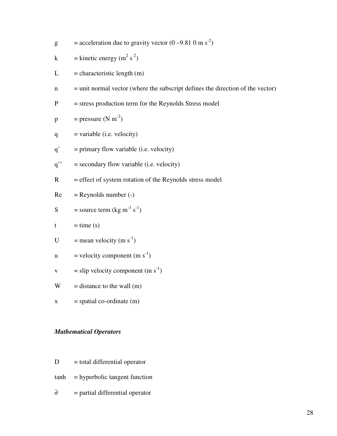g = acceleration due to gravity vector  $(0 - 9.810 \text{ m s}^2)$ 

$$
k = kinetic energy (m2 s-2)
$$

$$
L = characteristic length (m)
$$

 $n =$  unit normal vector (where the subscript defines the direction of the vector)

$$
P = stress production term for the Reynolds Stress model
$$

$$
p = pressure (N m-2)
$$

$$
q = variable (i.e. velocity)
$$

- $q'$  = primary flow variable (i.e. velocity)
- $q'' =$  secondary flow variable (i.e. velocity)
- $R =$  effect of system rotation of the Reynolds stress model

$$
Re = Reynolds number (-)
$$

$$
S = source term (kg m-3 s-1)
$$

$$
t = time (s)
$$

- U = mean velocity  $(m s<sup>-1</sup>)$
- u = velocity component  $(m s<sup>-1</sup>)$
- v = slip velocity component  $(m s<sup>-1</sup>)$

 $W =$  distance to the wall (m)

 $x = spatial co-ordinate (m)$ 

#### Mathematical Operators

- $D = total differential operator$
- tanh = hyperbolic tangent function
- $\partial$  = partial differential operator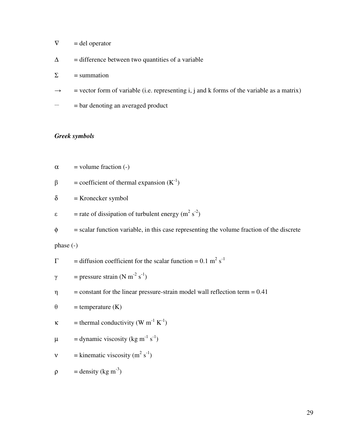- $\nabla$  = del operator
- $\Delta$  = difference between two quantities of a variable
- $\Sigma$  = summation
- $\rightarrow$  = vector form of variable (i.e. representing i, j and k forms of the variable as a matrix)
- $\equiv$  = bar denoting an averaged product

# Greek symbols

- $\alpha$  = volume fraction (-)
- $\beta$ = coefficient of thermal expansion  $(K^{-1})$
- $\delta$  = Kronecker symbol
- $\varepsilon$  = rate of dissipation of turbulent energy (m<sup>2</sup> s<sup>-2</sup>)
- $\phi$  = scalar function variable, in this case representing the volume fraction of the discrete

phase (-)

$$
\Gamma
$$
 = diffusion coefficient for the scalar function = 0.1 m<sup>2</sup> s<sup>-1</sup>

$$
\gamma
$$
 = pressure strain (N m<sup>-2</sup> s<sup>-1</sup>)

 $\eta$  = constant for the linear pressure-strain model wall reflection term = 0.41

$$
\theta = \text{temperature (K)}
$$

$$
\kappa
$$
 = thermal conductivity (W m<sup>-1</sup> K<sup>-1</sup>)

$$
\mu = \text{dynamic viscosity (kg m}^{-1} \text{ s}^{-1})
$$

$$
v = kinematic viscosity (m2 s-1)
$$

$$
\rho = density (kg m-3)
$$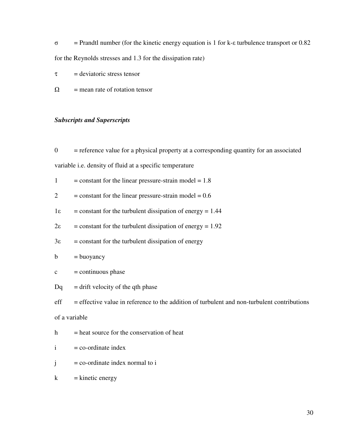$\sigma$  = Prandtl number (for the kinetic energy equation is 1 for k- $\epsilon$  turbulence transport or 0.82 for the Reynolds stresses and 1.3 for the dissipation rate)

- $\tau$  = deviatoric stress tensor
- $\Omega$  = mean rate of rotation tensor

#### Subscripts and Superscripts

 $0 =$  reference value for a physical property at a corresponding quantity for an associated

variable i.e. density of fluid at a specific temperature

| $=$ constant for the linear pressure-strain model $= 1.8$ |
|-----------------------------------------------------------|
|                                                           |

- $2 =$  constant for the linear pressure-strain model =  $0.6$
- $1\varepsilon$  = constant for the turbulent dissipation of energy = 1.44
- $2\varepsilon$  = constant for the turbulent dissipation of energy = 1.92
- $3\varepsilon$  = constant for the turbulent dissipation of energy

$$
b = buoyancy
$$

$$
c
$$
 = continuous phase

 $Dq =$  drift velocity of the qth phase

 $eff = effective value in reference to the addition of turbulent and non-turbulent contributions$ of a variable

$$
h = heat source for the conservation of heat
$$

- $i = \text{co-ordinate index}$
- $j = \text{co-ordinate index normal to } i$
- $k =$  kinetic energy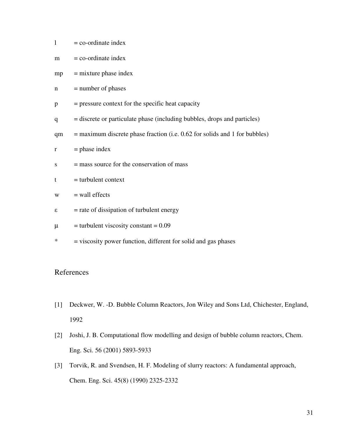| $=$ co-ordinate index |
|-----------------------|
|                       |

- $mp =$  mixture phase index
- $n$  = number of phases
- $p = pressure \text{ context for the specific heat capacity}$
- q = discrete or particulate phase (including bubbles, drops and particles)
- $qm = maximum discrete phase fraction (i.e. 0.62 for solids and 1 for bubbles)$
- $r =$  phase index
- $s =$  mass source for the conservation of mass

$$
t = turbulent context
$$

$$
w = wall effects
$$

- $\epsilon$  = rate of dissipation of turbulent energy
- $\mu$  = turbulent viscosity constant = 0.09
- \* = viscosity power function, different for solid and gas phases

# References

- [1] Deckwer, W. -D. Bubble Column Reactors, Jon Wiley and Sons Ltd, Chichester, England, 1992
- [2] Joshi, J. B. Computational flow modelling and design of bubble column reactors, Chem. Eng. Sci. 56 (2001) 5893-5933
- [3] Torvik, R. and Svendsen, H. F. Modeling of slurry reactors: A fundamental approach, Chem. Eng. Sci. 45(8) (1990) 2325-2332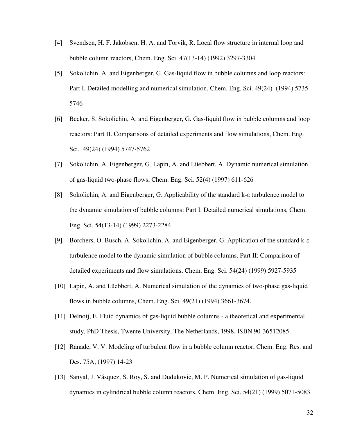- [4] Svendsen, H. F. Jakobsen, H. A. and Torvik, R. Local flow structure in internal loop and bubble column reactors, Chem. Eng. Sci. 47(13-14) (1992) 3297-3304
- [5] Sokolichin, A. and Eigenberger, G. Gas-liquid flow in bubble columns and loop reactors: Part I. Detailed modelling and numerical simulation, Chem. Eng. Sci. 49(24) (1994) 5735- 5746
- [6] Becker, S. Sokolichin, A. and Eigenberger, G. Gas-liquid flow in bubble columns and loop reactors: Part II. Comparisons of detailed experiments and flow simulations, Chem. Eng. Sci. 49(24) (1994) 5747-5762
- [7] Sokolichin, A. Eigenberger, G. Lapin, A. and Lüebbert, A. Dynamic numerical simulation of gas-liquid two-phase flows, Chem. Eng. Sci. 52(4) (1997) 611-626
- [8] Sokolichin, A. and Eigenberger, G. Applicability of the standard k- $\varepsilon$  turbulence model to the dynamic simulation of bubble columns: Part I. Detailed numerical simulations, Chem. Eng. Sci. 54(13-14) (1999) 2273-2284
- [9] Borchers, O. Busch, A. Sokolichin, A. and Eigenberger, G. Application of the standard k turbulence model to the dynamic simulation of bubble columns. Part II: Comparison of detailed experiments and flow simulations, Chem. Eng. Sci. 54(24) (1999) 5927-5935
- [10] Lapin, A. and Lüebbert, A. Numerical simulation of the dynamics of two-phase gas-liquid flows in bubble columns, Chem. Eng. Sci. 49(21) (1994) 3661-3674.
- [11] Delnoij, E. Fluid dynamics of gas-liquid bubble columns a theoretical and experimental study, PhD Thesis, Twente University, The Netherlands, 1998, ISBN 90-36512085
- [12] Ranade, V. V. Modeling of turbulent flow in a bubble column reactor, Chem. Eng. Res. and Des. 75A, (1997) 14-23
- [13] Sanyal, J. Vásquez, S. Roy, S. and Dudukovic, M. P. Numerical simulation of gas-liquid dynamics in cylindrical bubble column reactors, Chem. Eng. Sci. 54(21) (1999) 5071-5083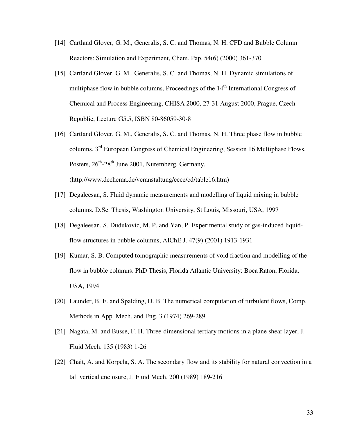- [14] Cartland Glover, G. M., Generalis, S. C. and Thomas, N. H. CFD and Bubble Column Reactors: Simulation and Experiment, Chem. Pap. 54(6) (2000) 361-370
- [15] Cartland Glover, G. M., Generalis, S. C. and Thomas, N. H. Dynamic simulations of multiphase flow in bubble columns, Proceedings of the  $14<sup>th</sup>$  International Congress of Chemical and Process Engineering, CHISA 2000, 27-31 August 2000, Prague, Czech Republic, Lecture G5.5, ISBN 80-86059-30-8
- [16] Cartland Glover, G. M., Generalis, S. C. and Thomas, N. H. Three phase flow in bubble columns, 3rd European Congress of Chemical Engineering, Session 16 Multiphase Flows, Posters,  $26^{th}$ - $28^{th}$  June 2001, Nuremberg, Germany, (http://www.dechema.de/veranstaltung/ecce/cd/table16.htm)
- [17] Degaleesan, S. Fluid dynamic measurements and modelling of liquid mixing in bubble columns. D.Sc. Thesis, Washington University, St Louis, Missouri, USA, 1997
- [18] Degaleesan, S. Dudukovic, M. P. and Yan, P. Experimental study of gas-induced liquidflow structures in bubble columns, AIChE J. 47(9) (2001) 1913-1931
- [19] Kumar, S. B. Computed tomographic measurements of void fraction and modelling of the flow in bubble columns. PhD Thesis, Florida Atlantic University: Boca Raton, Florida, USA, 1994
- [20] Launder, B. E. and Spalding, D. B. The numerical computation of turbulent flows, Comp. Methods in App. Mech. and Eng. 3 (1974) 269-289
- [21] Nagata, M. and Busse, F. H. Three-dimensional tertiary motions in a plane shear layer, J. Fluid Mech. 135 (1983) 1-26
- [22] Chait, A. and Korpela, S. A. The secondary flow and its stability for natural convection in a tall vertical enclosure, J. Fluid Mech. 200 (1989) 189-216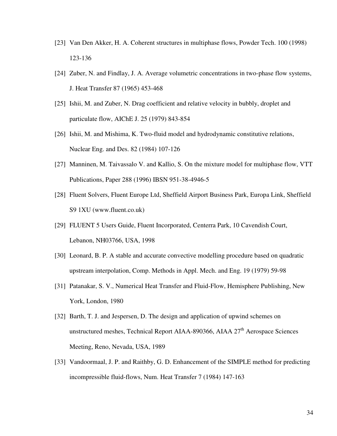- [23] Van Den Akker, H. A. Coherent structures in multiphase flows, Powder Tech. 100 (1998) 123-136
- [24] Zuber, N. and Findlay, J. A. Average volumetric concentrations in two-phase flow systems, J. Heat Transfer 87 (1965) 453-468
- [25] Ishii, M. and Zuber, N. Drag coefficient and relative velocity in bubbly, droplet and particulate flow, AIChE J. 25 (1979) 843-854
- [26] Ishii, M. and Mishima, K. Two-fluid model and hydrodynamic constitutive relations, Nuclear Eng. and Des. 82 (1984) 107-126
- [27] Manninen, M. Taivassalo V. and Kallio, S. On the mixture model for multiphase flow, VTT Publications, Paper 288 (1996) IBSN 951-38-4946-5
- [28] Fluent Solvers, Fluent Europe Ltd, Sheffield Airport Business Park, Europa Link, Sheffield S9 1XU (www.fluent.co.uk)
- [29] FLUENT 5 Users Guide, Fluent Incorporated, Centerra Park, 10 Cavendish Court, Lebanon, NH03766, USA, 1998
- [30] Leonard, B. P. A stable and accurate convective modelling procedure based on quadratic upstream interpolation, Comp. Methods in Appl. Mech. and Eng. 19 (1979) 59-98
- [31] Patanakar, S. V., Numerical Heat Transfer and Fluid-Flow, Hemisphere Publishing, New York, London, 1980
- [32] Barth, T. J. and Jespersen, D. The design and application of upwind schemes on unstructured meshes, Technical Report AIAA-890366, AIAA  $27<sup>th</sup>$  Aerospace Sciences Meeting, Reno, Nevada, USA, 1989
- [33] Vandoormaal, J. P. and Raithby, G. D. Enhancement of the SIMPLE method for predicting incompressible fluid-flows, Num. Heat Transfer 7 (1984) 147-163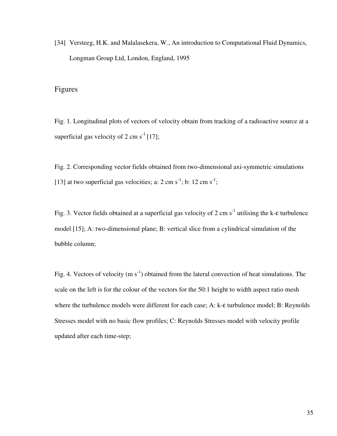[34] Versteeg, H.K. and Malalasekera, W., An introduction to Computational Fluid Dynamics, Longman Group Ltd, London, England, 1995

# Figures

Fig. 1. Longitudinal plots of vectors of velocity obtain from tracking of a radioactive source at a superficial gas velocity of 2 cm  $s^{-1}$  [17];

Fig. 2. Corresponding vector fields obtained from two-dimensional axi-symmetric simulations [13] at two superficial gas velocities; a:  $2 \text{ cm s}^{-1}$ ; b:  $12 \text{ cm s}^{-1}$ ;

Fig. 3. Vector fields obtained at a superficial gas velocity of 2 cm s<sup>-1</sup> utilising the k- $\varepsilon$  turbulence model [15]; A: two-dimensional plane; B: vertical slice from a cylindrical simulation of the bubble column;

Fig. 4. Vectors of velocity (m  $s^{-1}$ ) obtained from the lateral convection of heat simulations. The scale on the left is for the colour of the vectors for the 50:1 height to width aspect ratio mesh where the turbulence models were different for each case; A: k-ε turbulence model; B: Reynolds Stresses model with no basic flow profiles; C: Reynolds Stresses model with velocity profile updated after each time-step;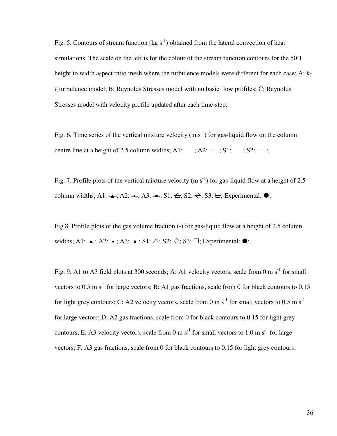Fig. 5. Contours of stream function (kg  $s^{-1}$ ) obtained from the lateral convection of heat simulations. The scale on the left is for the colour of the stream function contours for the 50:1 height to width aspect ratio mesh where the turbulence models were different for each case; A: kε turbulence model; B: Reynolds Stresses model with no basic flow profiles; C: Reynolds Stresses model with velocity profile updated after each time-step;

Fig. 6. Time series of the vertical mixture velocity (m  $s^{-1}$ ) for gas-liquid flow on the column centre line at a height of 2.5 column widths;  $A1:$   $\rightarrow$ ;  $A2:$   $\rightarrow$   $\cdot$ ;  $S1:$   $\rightarrow$ ;  $S2:$   $\cdots$ ...;

Fig. 7. Profile plots of the vertical mixture velocity (m s<sup>-1</sup>) for gas-liquid flow at a height of 2.5 column widths; A1:  $\rightarrow$ ; A2:  $\rightarrow$ ; A3:  $\rightarrow$ ; S1:  $\rightarrow$ ; S2:  $\leftrightarrow$ ; S3:  $\leftrightarrow$ ; Experimental:  $\bullet$ ;

Fig 8. Profile plots of the gas volume fraction (-) for gas-liquid flow at a height of 2.5 column widths; A1:  $\rightarrow$ ; A2:  $\rightarrow$ ; A3:  $\rightarrow$ ; S1:  $\rightarrow$ ; S2:  $\leftrightarrow$ ; S3:  $\leftrightarrow$ ; Experimental:  $\bullet$ ;

Fig. 9. A1 to A3 field plots at 300 seconds; A: A1 velocity vectors, scale from 0 m s<sup>-1</sup> for small vectors to 0.5 m s<sup>-1</sup> for large vectors; B: A1 gas fractions, scale from 0 for black contours to 0.15 for light grey contours; C: A2 velocity vectors, scale from 0 m s<sup>-1</sup> for small vectors to 0.5 m s<sup>-1</sup> for large vectors; D: A2 gas fractions, scale from 0 for black contours to 0.15 for light grey contours; E: A3 velocity vectors, scale from 0 m  $s^{-1}$  for small vectors to 1.0 m  $s^{-1}$  for large vectors; F: A3 gas fractions, scale from 0 for black contours to 0.15 for light grey contours;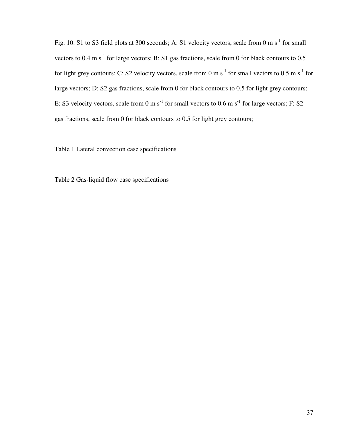Fig. 10. S1 to S3 field plots at 300 seconds; A: S1 velocity vectors, scale from 0 m s<sup>-1</sup> for small vectors to  $0.4 \text{ m s}^{-1}$  for large vectors; B: S1 gas fractions, scale from 0 for black contours to  $0.5$ for light grey contours; C: S2 velocity vectors, scale from 0 m s<sup>-1</sup> for small vectors to 0.5 m s<sup>-1</sup> for large vectors; D: S2 gas fractions, scale from 0 for black contours to 0.5 for light grey contours; E: S3 velocity vectors, scale from 0 m s<sup>-1</sup> for small vectors to 0.6 m s<sup>-1</sup> for large vectors; F: S2 gas fractions, scale from 0 for black contours to 0.5 for light grey contours;

Table 1 Lateral convection case specifications

Table 2 Gas-liquid flow case specifications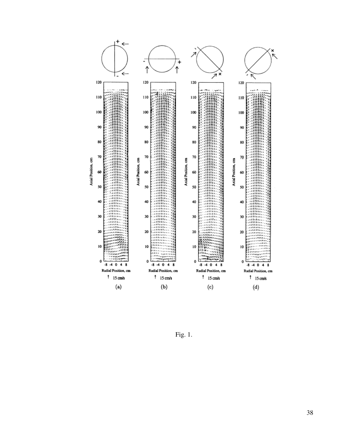

Fig. 1.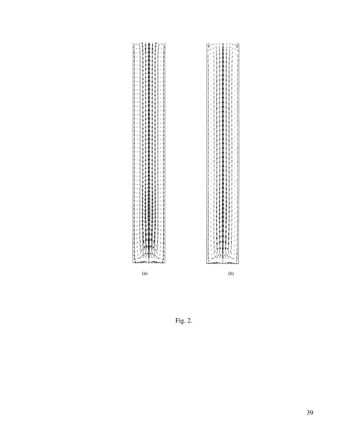

Fig. 2.

 $\left(\mathrm{b}\right)$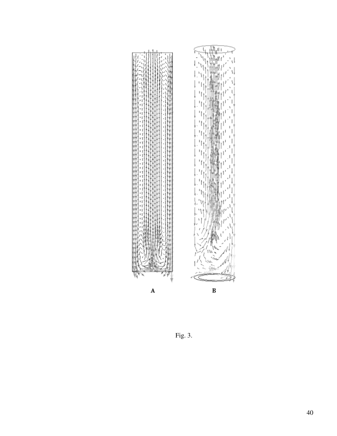

Fig. 3.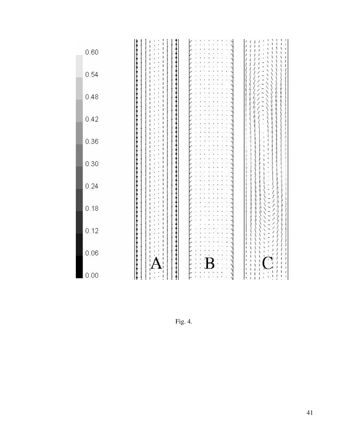| 0.60     |  |        |
|----------|--|--------|
| 0.54     |  |        |
| 0.48     |  |        |
| 0.42     |  |        |
| 0.36     |  |        |
| 0.30     |  |        |
| 0.24     |  |        |
| 0.18     |  |        |
| 0.12     |  |        |
| $0.06\,$ |  |        |
| 0.00     |  | J<br>ï |

Fig. 4.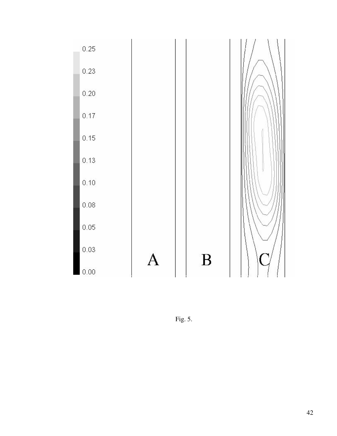

Fig. 5.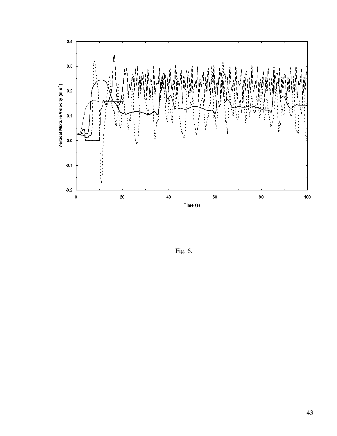

Fig. 6.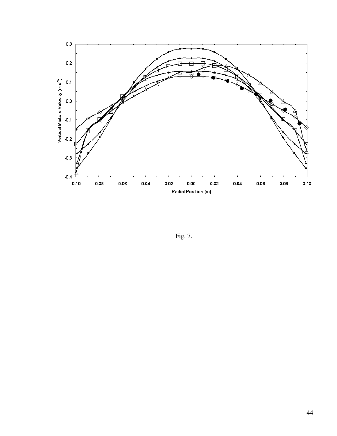

Fig. 7.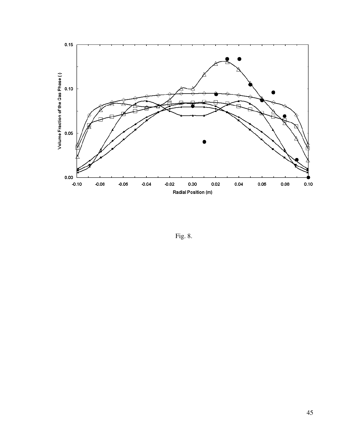

Fig. 8.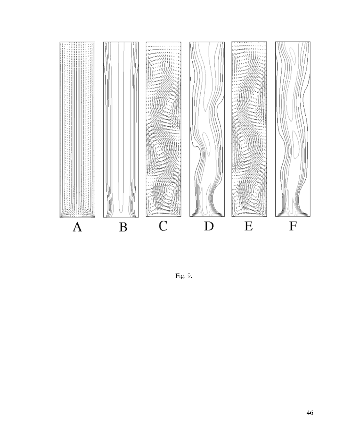

Fig. 9.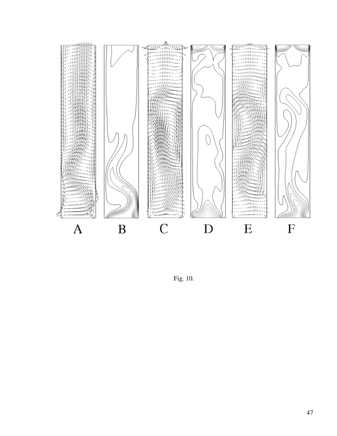

Fig. 10.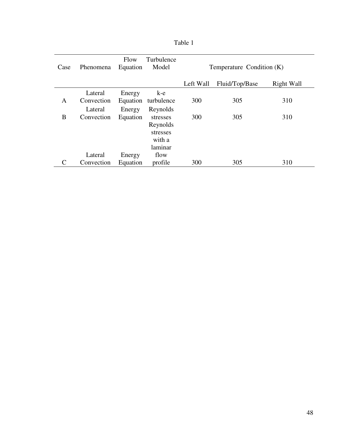| Case | Phenomena  | Flow<br>Equation | Turbulence<br>Model | Temperature Condition (K) |                |            |  |
|------|------------|------------------|---------------------|---------------------------|----------------|------------|--|
|      |            |                  |                     | Left Wall                 | Fluid/Top/Base | Right Wall |  |
|      | Lateral    | Energy           | k-e                 |                           |                |            |  |
| A    | Convection | Equation         | turbulence          | 300                       | 305            | 310        |  |
|      | Lateral    | Energy           | Reynolds            |                           |                |            |  |
| B    | Convection | Equation         | stresses            | 300                       | 305            | 310        |  |
|      |            |                  | Reynolds            |                           |                |            |  |
|      |            |                  | stresses            |                           |                |            |  |
|      |            |                  | with a              |                           |                |            |  |
|      |            |                  | laminar             |                           |                |            |  |
|      | Lateral    | Energy           | flow                |                           |                |            |  |
| C    | Convection | Equation         | profile             | 300                       | 305            | 310        |  |

| апіє |  |
|------|--|
|------|--|